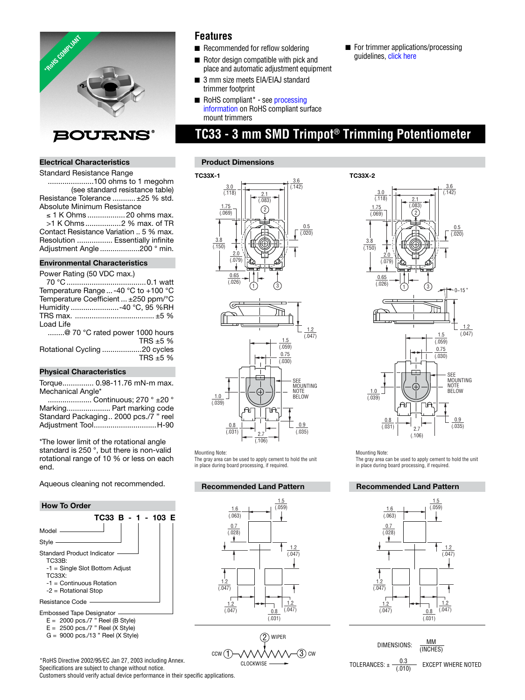

### **Electrical Characteristics**

Standard Resistance Range ......................100 ohms to 1 megohm (see standard resistance table) Resistance Tolerance ........... ±25 % std. Absolute Minimum Resistance

≤ 1 K Ohms .................. 20 ohms max. >1 K Ohms .................2 % max. of TR Contact Resistance Variation .. 5 % max. Resolution ................. Essentially infinite Adjustment Angle ...................200 ° min.

#### **Environmental Characteristics**

#### **Physical Characteristics**

Torque ............... 0.98-11.76 mN-m max. Mechanical Angle\*

 ..................... Continuous; 270 ° ±20 ° Marking ..................... Part marking code Standard Packaging .. 2000 pcs./7 " reel Adjustment Tool ..............................H-90

\*The lower limit of the rotational angle standard is 250 °, but there is non-valid rotational range of 10 % or less on each end.

Aqueous cleaning not recommended.

#### **How To Order**



- E = 2500 pcs./7 " Reel (X Style)
- G = 9000 pcs./13 " Reel (X Style)

\*RoHS Directive 2002/95/EC Jan 27, 2003 including Annex. Specifications are subject to change without notice.

### **Features**

- Recommended for reflow soldering
- Rotor design compatible with pick and place and automatic adjustment equipment
- 3 mm size meets EIA/EIAJ standard trimmer footprint
- RoHS compliant<sup>\*</sup> see processing  [information on RoHS compliant surface](http://www.bourns.com/data/global/pdfs/LeadFreeSolderProfile.pdf) mount trimmers

# **TC33 - 3 mm SMD Trimpot® Trimming Potentiometer**

#### **Product Dimensions**





Mounting Note:

The gray area can be used to apply cement to hold the unit in place during board processing, if required.

#### **Recommended Land Pattern**







Mounting Note:

The gray area can be used to apply cement to hold the unit in place during board processing, if required.

#### **Recommended Land Pattern**



 (INCHES) TOLERANCES:  $\pm \frac{0.3}{(.010)}$  EXCEPT WHERE NOTED

DIMENSIONS:  $\frac{MM}{M}$ 

Customers should verify actual device performance in their specific applications.

**TC33X-2**

■ For trim[mer applications/proc](http://www.bourns.com/data/global/pdfs/ap_proc.pdf)essing quidelines, click here